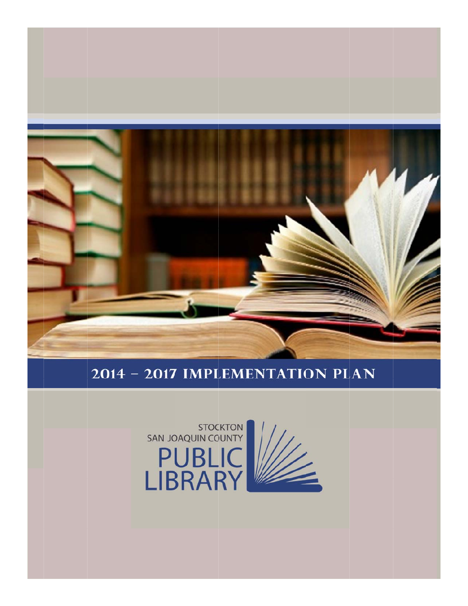

#### 2014 - 2017 IMPLEMENTATION PLAN

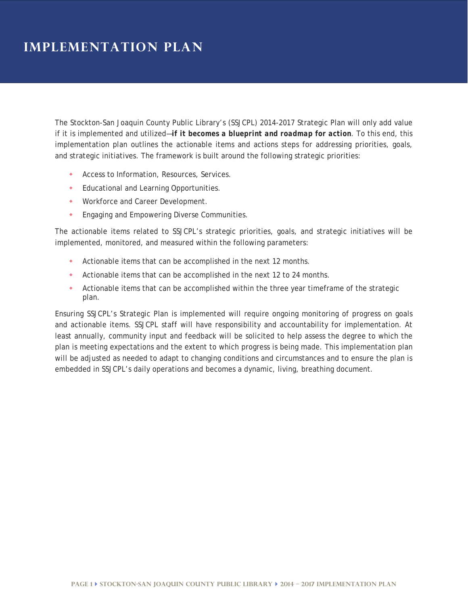The Stockton-San Joaquin County Public Library's (SSJCPL) 2014-2017 Strategic Plan will only add value if it is implemented and utilized—*if it becomes a blueprint and roadmap for action*. To this end, this implementation plan outlines the actionable items and actions steps for addressing priorities, goals, and strategic initiatives. The framework is built around the following strategic priorities:

- **Access to Information, Resources, Services.**
- Educational and Learning Opportunities.
- Workforce and Career Development.
- **Engaging and Empowering Diverse Communities.**

The actionable items related to SSJCPL's strategic priorities, goals, and strategic initiatives will be implemented, monitored, and measured within the following parameters:

- Actionable items that can be accomplished in the next 12 months.
- Actionable items that can be accomplished in the next 12 to 24 months.
- Actionable items that can be accomplished within the three year timeframe of the strategic plan.

Ensuring SSJCPL's Strategic Plan is implemented will require ongoing monitoring of progress on goals and actionable items. SSJCPL staff will have responsibility and accountability for implementation. At least annually, community input and feedback will be solicited to help assess the degree to which the plan is meeting expectations and the extent to which progress is being made. This implementation plan will be adjusted as needed to adapt to changing conditions and circumstances and to ensure the plan is embedded in SSJCPL's daily operations and becomes a dynamic, living, breathing document.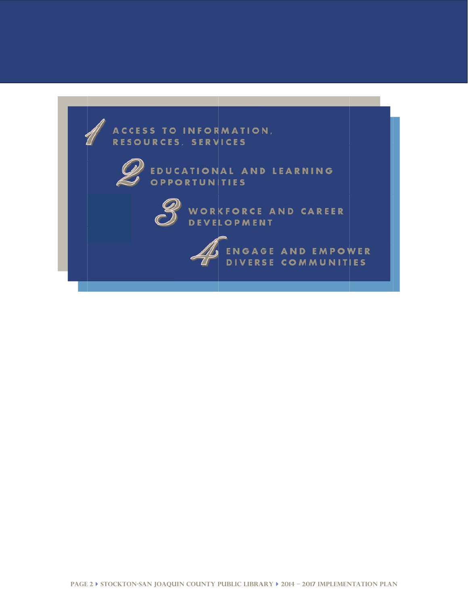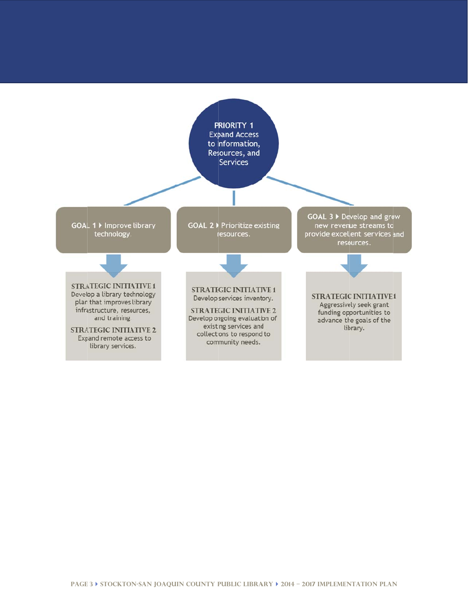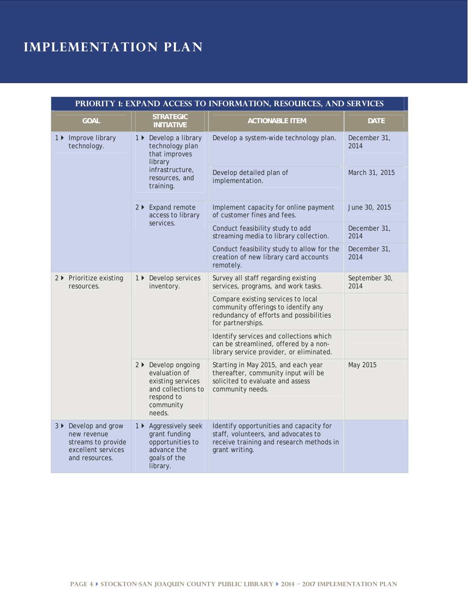| PRIORITY 1: EXPAND ACCESS TO INFORMATION, RESOURCES, AND SERVICES                                 |                                                                                                                        |                                                                                                                                              |                       |
|---------------------------------------------------------------------------------------------------|------------------------------------------------------------------------------------------------------------------------|----------------------------------------------------------------------------------------------------------------------------------------------|-----------------------|
| <b>GOAL</b>                                                                                       | <b>STRATEGIC</b><br><b>INITIATIVE</b>                                                                                  | <b>ACTIONABLE ITEM</b>                                                                                                                       | <b>DATE</b>           |
| 1 ▶ Improve library<br>technology.                                                                | 1 ▶ Develop a library<br>technology plan<br>that improves<br>library<br>infrastructure,<br>resources, and<br>training. | Develop a system-wide technology plan.                                                                                                       | December 31,<br>2014  |
|                                                                                                   |                                                                                                                        | Develop detailed plan of<br>implementation.                                                                                                  | March 31, 2015        |
|                                                                                                   | 2 ▶ Expand remote<br>access to library<br>services.                                                                    | Implement capacity for online payment<br>of customer fines and fees.                                                                         | June 30, 2015         |
|                                                                                                   |                                                                                                                        | Conduct feasibility study to add<br>streaming media to library collection.                                                                   | December 31,<br>2014  |
|                                                                                                   |                                                                                                                        | Conduct feasibility study to allow for the<br>creation of new library card accounts<br>remotely.                                             | December 31,<br>2014  |
| 2 ▶ Prioritize existing<br>resources.                                                             | 1 ▶ Develop services<br>inventory.                                                                                     | Survey all staff regarding existing<br>services, programs, and work tasks.                                                                   | September 30,<br>2014 |
|                                                                                                   |                                                                                                                        | Compare existing services to local<br>community offerings to identify any<br>redundancy of efforts and possibilities<br>for partnerships.    |                       |
|                                                                                                   |                                                                                                                        | Identify services and collections which<br>can be streamlined, offered by a non-<br>library service provider, or eliminated.                 |                       |
|                                                                                                   | 2 ▶ Develop ongoing<br>evaluation of<br>existing services<br>and collections to<br>respond to<br>community<br>needs.   | Starting in May 2015, and each year<br>thereafter, community input will be<br>solicited to evaluate and assess<br>community needs.           | May 2015              |
| 3 ▶ Develop and grow<br>new revenue<br>streams to provide<br>excellent services<br>and resources. | 1 ▶ Aggressively seek<br>grant funding<br>opportunities to<br>advance the<br>goals of the<br>library.                  | Identify opportunities and capacity for<br>staff, volunteers, and advocates to<br>receive training and research methods in<br>grant writing. |                       |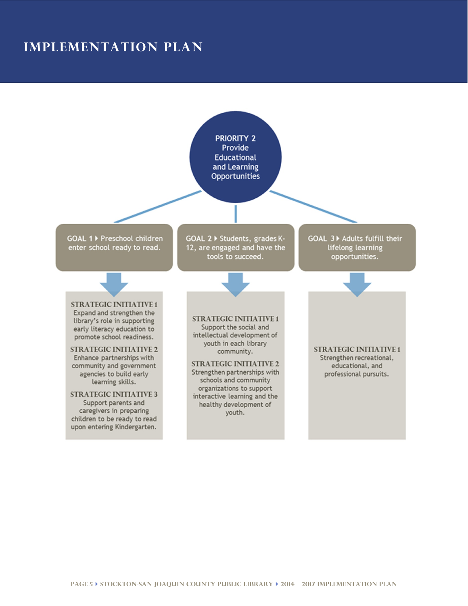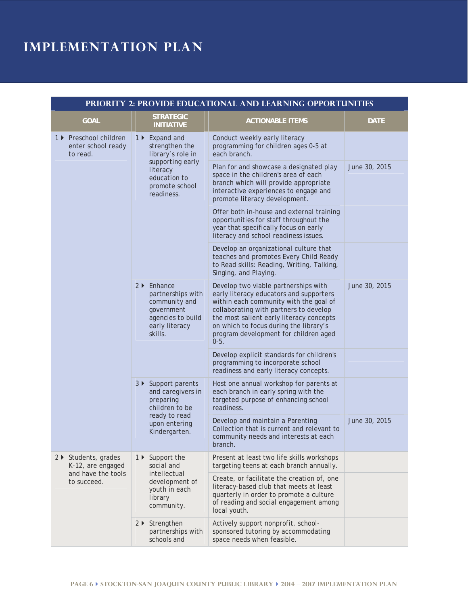| PRIORITY 2: PROVIDE EDUCATIONAL AND LEARNING OPPORTUNITIES                     |                                                                                                                                       |                                                                                                                                                                                                                                                                                                              |               |
|--------------------------------------------------------------------------------|---------------------------------------------------------------------------------------------------------------------------------------|--------------------------------------------------------------------------------------------------------------------------------------------------------------------------------------------------------------------------------------------------------------------------------------------------------------|---------------|
| <b>GOAL</b>                                                                    | <b>STRATEGIC</b><br><b>INITIATIVE</b>                                                                                                 | <b>ACTIONABLE ITEMS</b>                                                                                                                                                                                                                                                                                      | <b>DATE</b>   |
| 1 ▶ Preschool children<br>enter school ready<br>to read.                       | 1 ▶ Expand and<br>strengthen the<br>library's role in<br>supporting early<br>literacy<br>education to<br>promote school<br>readiness. | Conduct weekly early literacy<br>programming for children ages 0-5 at<br>each branch.                                                                                                                                                                                                                        |               |
|                                                                                |                                                                                                                                       | Plan for and showcase a designated play<br>space in the children's area of each<br>branch which will provide appropriate<br>interactive experiences to engage and<br>promote literacy development.                                                                                                           | June 30, 2015 |
|                                                                                |                                                                                                                                       | Offer both in-house and external training<br>opportunities for staff throughout the<br>year that specifically focus on early<br>literacy and school readiness issues.                                                                                                                                        |               |
|                                                                                |                                                                                                                                       | Develop an organizational culture that<br>teaches and promotes Every Child Ready<br>to Read skills: Reading, Writing, Talking,<br>Singing, and Playing.                                                                                                                                                      |               |
|                                                                                | $2 \triangleright$ Enhance<br>partnerships with<br>community and<br>government<br>agencies to build<br>early literacy<br>skills.      | Develop two viable partnerships with<br>early literacy educators and supporters<br>within each community with the goal of<br>collaborating with partners to develop<br>the most salient early literacy concepts<br>on which to focus during the library's<br>program development for children aged<br>$0-5.$ | June 30, 2015 |
|                                                                                |                                                                                                                                       | Develop explicit standards for children's<br>programming to incorporate school<br>readiness and early literacy concepts.                                                                                                                                                                                     |               |
|                                                                                | 3 ▶ Support parents<br>and caregivers in<br>preparing<br>children to be<br>ready to read<br>upon entering<br>Kindergarten.            | Host one annual workshop for parents at<br>each branch in early spring with the<br>targeted purpose of enhancing school<br>readiness.                                                                                                                                                                        |               |
|                                                                                |                                                                                                                                       | Develop and maintain a Parenting<br>Collection that is current and relevant to<br>community needs and interests at each<br>branch.                                                                                                                                                                           | June 30, 2015 |
| 2 ▶ Students, grades<br>K-12, are engaged<br>and have the tools<br>to succeed. | 1 ▶ Support the<br>social and<br>intellectual<br>development of<br>youth in each<br>library<br>community.                             | Present at least two life skills workshops<br>targeting teens at each branch annually.                                                                                                                                                                                                                       |               |
|                                                                                |                                                                                                                                       | Create, or facilitate the creation of, one<br>literacy-based club that meets at least<br>quarterly in order to promote a culture<br>of reading and social engagement among<br>local youth.                                                                                                                   |               |
|                                                                                | 2 ▶ Strengthen<br>partnerships with<br>schools and                                                                                    | Actively support nonprofit, school-<br>sponsored tutoring by accommodating<br>space needs when feasible.                                                                                                                                                                                                     |               |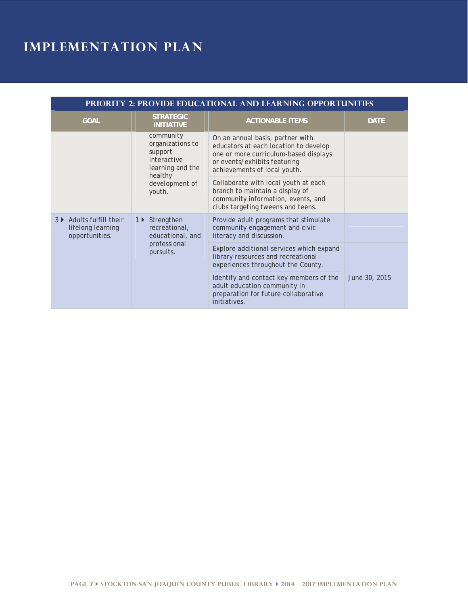| <b>PRIORITY 2: PROVIDE EDUCATIONAL AND LEARNING OPPORTUNITIES</b> |                                                                                                                    |                                                                                                                                                                                    |               |
|-------------------------------------------------------------------|--------------------------------------------------------------------------------------------------------------------|------------------------------------------------------------------------------------------------------------------------------------------------------------------------------------|---------------|
| <b>GOAL</b>                                                       | <b>STRATEGIC</b><br><b>INITIATIVE</b>                                                                              | <b>ACTIONABLE ITEMS</b>                                                                                                                                                            | <b>DATE</b>   |
|                                                                   | community<br>organizations to<br>support<br>interactive<br>learning and the<br>healthy<br>development of<br>youth. | On an annual basis, partner with<br>educators at each location to develop<br>one or more curriculum-based displays<br>or events/exhibits featuring<br>achievements of local youth. |               |
|                                                                   |                                                                                                                    | Collaborate with local youth at each<br>branch to maintain a display of<br>community information, events, and<br>clubs targeting tweens and teens.                                 |               |
| 3 ▶ Adults fulfill their<br>lifelong learning<br>opportunities.   | 1 ▶ Strengthen<br>recreational,<br>educational, and<br>professional<br>pursuits.                                   | Provide adult programs that stimulate<br>community engagement and civic<br>literacy and discussion.                                                                                |               |
|                                                                   |                                                                                                                    | Explore additional services which expand<br>library resources and recreational<br>experiences throughout the County.                                                               |               |
|                                                                   |                                                                                                                    | Identify and contact key members of the<br>adult education community in<br>preparation for future collaborative<br>initiatives.                                                    | June 30, 2015 |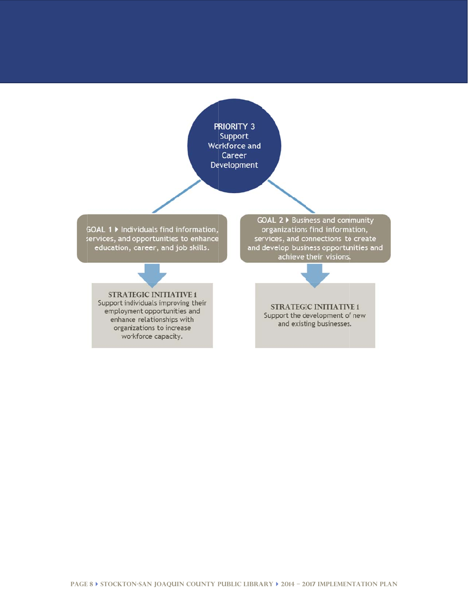PRIORITY 3 Support **Workforce and** Career Development

GOAL 1 ▶ Individuals find information, services, and opportunities to enhance education, career, and job skills.

GOAL 2 ▶ Business and community organizations find information, services, and connections to create and develop business opportunities and achieve their visions.

**STRATEGIC INITIATIVE 1** Support individuals improving their

employment opportunities and enhance relationships with organizations to increase workforce capacity.

**STRATEGIC INITIATIVE 1** Support the development of new and existing businesses.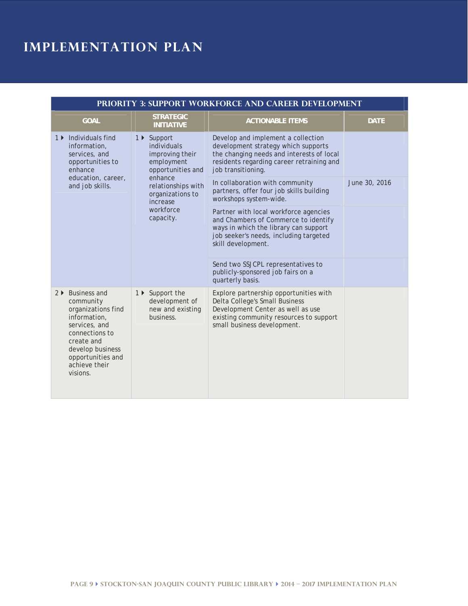| PRIORITY 3: SUPPORT WORKFORCE AND CAREER DEVELOPMENT                                                                                                                                       |                                                                                                                                                                             |                                                                                                                                                                                                                                                                   |               |
|--------------------------------------------------------------------------------------------------------------------------------------------------------------------------------------------|-----------------------------------------------------------------------------------------------------------------------------------------------------------------------------|-------------------------------------------------------------------------------------------------------------------------------------------------------------------------------------------------------------------------------------------------------------------|---------------|
| <b>GOAL</b>                                                                                                                                                                                | <b>STRATEGIC</b><br><b>INITIATIVE</b>                                                                                                                                       | <b>ACTIONABLE ITEMS</b>                                                                                                                                                                                                                                           | <b>DATE</b>   |
| 1 ▶ Individuals find<br>information,<br>services, and<br>opportunities to<br>enhance<br>education, career,<br>and job skills.                                                              | 1 ▶ Support<br>individuals<br>improving their<br>employment<br>opportunities and<br>enhance<br>relationships with<br>organizations to<br>increase<br>workforce<br>capacity. | Develop and implement a collection<br>development strategy which supports<br>the changing needs and interests of local<br>residents regarding career retraining and<br>job transitioning.                                                                         |               |
|                                                                                                                                                                                            |                                                                                                                                                                             | In collaboration with community<br>partners, offer four job skills building<br>workshops system-wide.                                                                                                                                                             | June 30, 2016 |
|                                                                                                                                                                                            |                                                                                                                                                                             | Partner with local workforce agencies<br>and Chambers of Commerce to identify<br>ways in which the library can support<br>job seeker's needs, including targeted<br>skill development.<br>Send two SSJCPL representatives to<br>publicly-sponsored job fairs on a |               |
| 2 ▶ Business and<br>community<br>organizations find<br>information,<br>services, and<br>connections to<br>create and<br>develop business<br>opportunities and<br>achieve their<br>visions. | 1 ▶ Support the<br>development of<br>new and existing<br>business.                                                                                                          | quarterly basis.<br>Explore partnership opportunities with<br>Delta College's Small Business<br>Development Center as well as use<br>existing community resources to support<br>small business development.                                                       |               |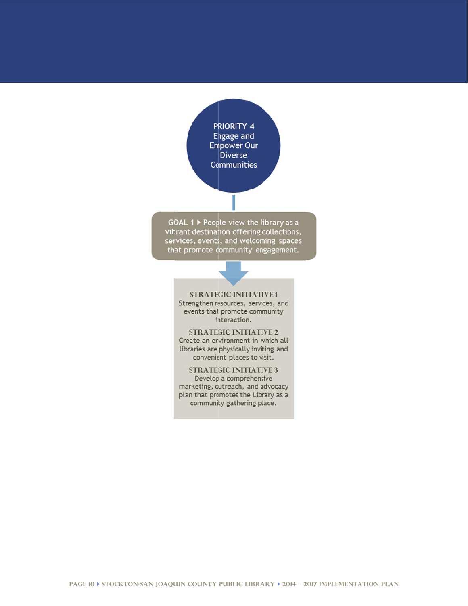PRIORITY 4 Engage and **Empower Our Diverse Communities** 

GOAL 1 ▶ People view the library as a vibrant destination offering collections, services, events, and welcoming spaces that promote community engagement.

**STRATEGIC INITIATIVE 1** Strengthen resources, services, and events that promote community interaction.

**STRATEGIC INITIATIVE 2** Create an environment in which all libraries are physically inviting and convenient places to visit.

**STRATEGIC INITIATIVE 3** Develop a comprehensive marketing, outreach, and advocacy

plan that promotes the Library as a community gathering place.